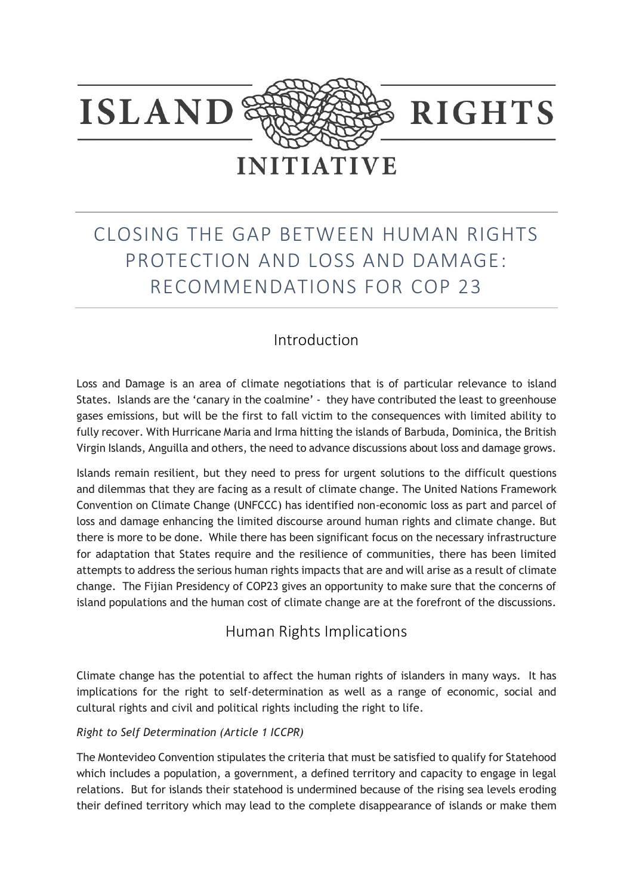

# CLOSING THE GAP BETWEEN HUMAN RIGHTS PROTECTION AND LOSS AND DAMAGE: RECOMMENDATIONS FOR COP 23

# Introduction

Loss and Damage is an area of climate negotiations that is of particular relevance to island States. Islands are the 'canary in the coalmine' - they have contributed the least to greenhouse gases emissions, but will be the first to fall victim to the consequences with limited ability to fully recover. With Hurricane Maria and Irma hitting the islands of Barbuda, Dominica, the British Virgin Islands, Anguilla and others, the need to advance discussions about loss and damage grows.

Islands remain resilient, but they need to press for urgent solutions to the difficult questions and dilemmas that they are facing as a result of climate change. The United Nations Framework Convention on Climate Change (UNFCCC) has identified non-economic loss as part and parcel of loss and damage enhancing the limited discourse around human rights and climate change. But there is more to be done. While there has been significant focus on the necessary infrastructure for adaptation that States require and the resilience of communities, there has been limited attempts to address the serious human rights impacts that are and will arise as a result of climate change. The Fijian Presidency of COP23 gives an opportunity to make sure that the concerns of island populations and the human cost of climate change are at the forefront of the discussions.

## Human Rights Implications

Climate change has the potential to affect the human rights of islanders in many ways. It has implications for the right to self-determination as well as a range of economic, social and cultural rights and civil and political rights including the right to life.

#### *Right to Self Determination (Article 1 ICCPR)*

The Montevideo Convention stipulates the criteria that must be satisfied to qualify for Statehood which includes a population, a government, a defined territory and capacity to engage in legal relations. But for islands their statehood is undermined because of the rising sea levels eroding their defined territory which may lead to the complete disappearance of islands or make them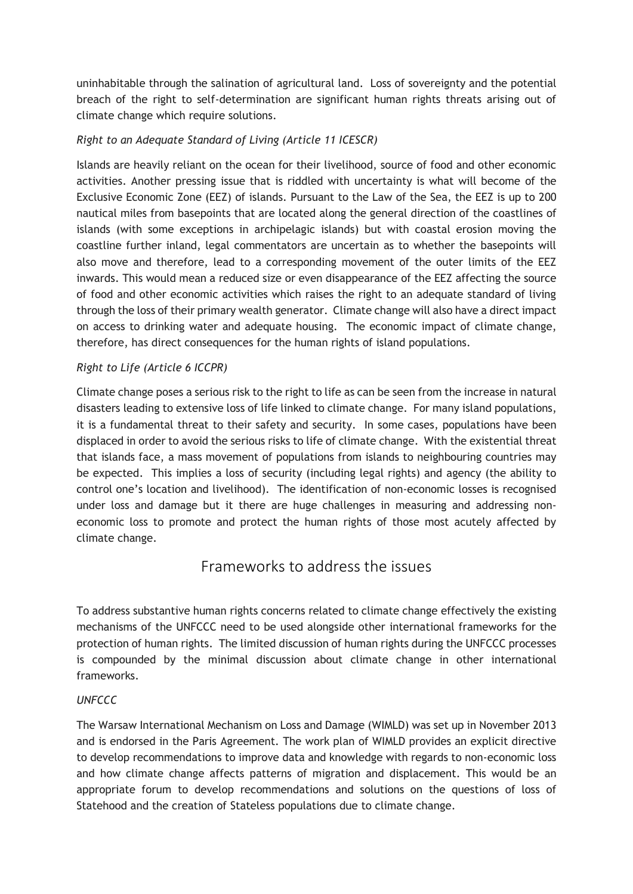uninhabitable through the salination of agricultural land. Loss of sovereignty and the potential breach of the right to self-determination are significant human rights threats arising out of climate change which require solutions.

#### *Right to an Adequate Standard of Living (Article 11 ICESCR)*

Islands are heavily reliant on the ocean for their livelihood, source of food and other economic activities. Another pressing issue that is riddled with uncertainty is what will become of the Exclusive Economic Zone (EEZ) of islands. Pursuant to the Law of the Sea, the EEZ is up to 200 nautical miles from basepoints that are located along the general direction of the coastlines of islands (with some exceptions in archipelagic islands) but with coastal erosion moving the coastline further inland, legal commentators are uncertain as to whether the basepoints will also move and therefore, lead to a corresponding movement of the outer limits of the EEZ inwards. This would mean a reduced size or even disappearance of the EEZ affecting the source of food and other economic activities which raises the right to an adequate standard of living through the loss of their primary wealth generator. Climate change will also have a direct impact on access to drinking water and adequate housing. The economic impact of climate change, therefore, has direct consequences for the human rights of island populations.

#### *Right to Life (Article 6 ICCPR)*

Climate change poses a serious risk to the right to life as can be seen from the increase in natural disasters leading to extensive loss of life linked to climate change. For many island populations, it is a fundamental threat to their safety and security. In some cases, populations have been displaced in order to avoid the serious risks to life of climate change. With the existential threat that islands face, a mass movement of populations from islands to neighbouring countries may be expected. This implies a loss of security (including legal rights) and agency (the ability to control one's location and livelihood). The identification of non-economic losses is recognised under loss and damage but it there are huge challenges in measuring and addressing noneconomic loss to promote and protect the human rights of those most acutely affected by climate change.

### Frameworks to address the issues

To address substantive human rights concerns related to climate change effectively the existing mechanisms of the UNFCCC need to be used alongside other international frameworks for the protection of human rights. The limited discussion of human rights during the UNFCCC processes is compounded by the minimal discussion about climate change in other international frameworks.

#### *UNFCCC*

The Warsaw International Mechanism on Loss and Damage (WIMLD) was set up in November 2013 and is endorsed in the Paris Agreement. The work plan of WIMLD provides an explicit directive to develop recommendations to improve data and knowledge with regards to non-economic loss and how climate change affects patterns of migration and displacement. This would be an appropriate forum to develop recommendations and solutions on the questions of loss of Statehood and the creation of Stateless populations due to climate change.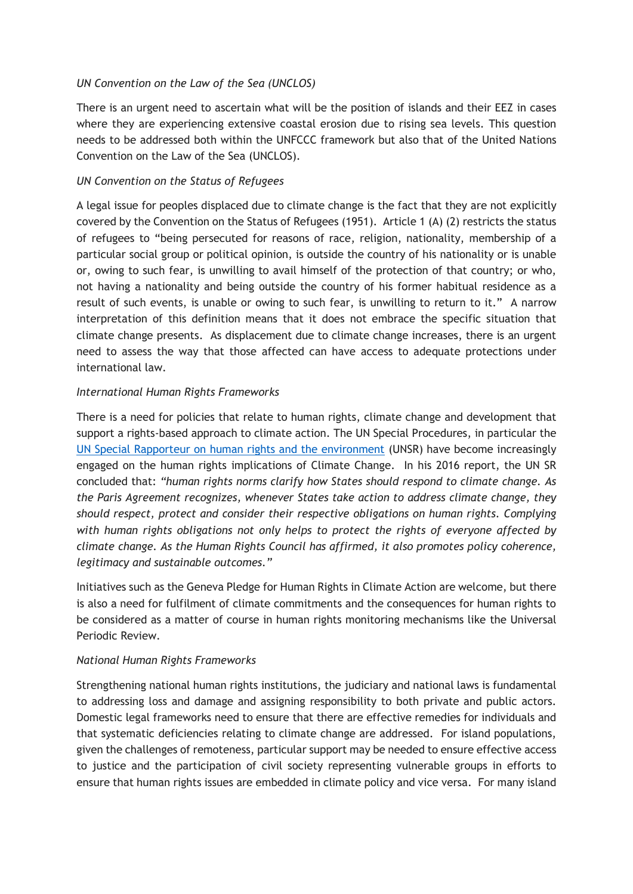#### *UN Convention on the Law of the Sea (UNCLOS)*

There is an urgent need to ascertain what will be the position of islands and their EEZ in cases where they are experiencing extensive coastal erosion due to rising sea levels. This question needs to be addressed both within the UNFCCC framework but also that of the United Nations Convention on the Law of the Sea (UNCLOS).

#### *UN Convention on the Status of Refugees*

A legal issue for peoples displaced due to climate change is the fact that they are not explicitly covered by the Convention on the Status of Refugees (1951). Article 1 (A) (2) restricts the status of refugees to "being persecuted for reasons of race, religion, nationality, membership of a particular social group or political opinion, is outside the country of his nationality or is unable or, owing to such fear, is unwilling to avail himself of the protection of that country; or who, not having a nationality and being outside the country of his former habitual residence as a result of such events, is unable or owing to such fear, is unwilling to return to it." A narrow interpretation of this definition means that it does not embrace the specific situation that climate change presents. As displacement due to climate change increases, there is an urgent need to assess the way that those affected can have access to adequate protections under international law.

#### *International Human Rights Frameworks*

There is a need for policies that relate to human rights, climate change and development that support a rights-based approach to climate action. The UN Special Procedures, in particular the [UN Special Rapporteur on human rights and the environment](http://www.ohchr.org/EN/Issues/Environment/SREnvironment/Pages/ClimateChange.aspx) (UNSR) have become increasingly engaged on the human rights implications of Climate Change. In his 2016 report, the UN SR concluded that: *"human rights norms clarify how States should respond to climate change. As the Paris Agreement recognizes, whenever States take action to address climate change, they should respect, protect and consider their respective obligations on human rights. Complying with human rights obligations not only helps to protect the rights of everyone affected by climate change. As the Human Rights Council has affirmed, it also promotes policy coherence, legitimacy and sustainable outcomes."*

Initiatives such as the Geneva Pledge for Human Rights in Climate Action are welcome, but there is also a need for fulfilment of climate commitments and the consequences for human rights to be considered as a matter of course in human rights monitoring mechanisms like the Universal Periodic Review.

#### *National Human Rights Frameworks*

Strengthening national human rights institutions, the judiciary and national laws is fundamental to addressing loss and damage and assigning responsibility to both private and public actors. Domestic legal frameworks need to ensure that there are effective remedies for individuals and that systematic deficiencies relating to climate change are addressed. For island populations, given the challenges of remoteness, particular support may be needed to ensure effective access to justice and the participation of civil society representing vulnerable groups in efforts to ensure that human rights issues are embedded in climate policy and vice versa. For many island